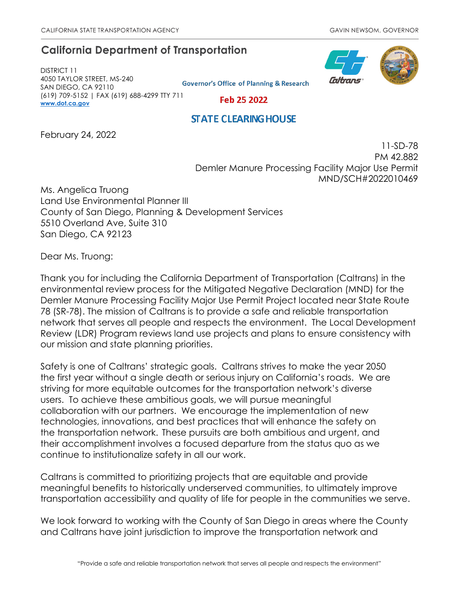# **California Department of Transportation**

DISTRICT 11 4050 TAYLOR STREET, MS-240 SAN DIEGO, CA 92110 (619) 709-5152 | FAX (619) 688-4299 TTY 711 **[www.dot.ca.gov](http://www.dot.ca.gov/)**

**Governor's Office of Planning & Research** 



Feb 25 2022

# **STATE CLEARING HOUSE**

February 24, 2022

11-SD-78 PM 42.882 Demler Manure Processing Facility Major Use Permit MND/SCH#2022010469

Ms. Angelica Truong Land Use Environmental Planner III County of San Diego, Planning & Development Services 5510 Overland Ave, Suite 310 San Diego, CA 92123

Dear Ms. Truong:

Thank you for including the California Department of Transportation (Caltrans) in the environmental review process for the Mitigated Negative Declaration (MND) for the Demler Manure Processing Facility Major Use Permit Project located near State Route 78 (SR-78). The mission of Caltrans is to provide a safe and reliable transportation network that serves all people and respects the environment. The Local Development Review (LDR) Program reviews land use projects and plans to ensure consistency with our mission and state planning priorities.

Safety is one of Caltrans' strategic goals. Caltrans strives to make the year 2050 the first year without a single death or serious injury on California's roads. We are striving for more equitable outcomes for the transportation network's diverse users. To achieve these ambitious goals, we will pursue meaningful collaboration with our partners. We encourage the implementation of new technologies, innovations, and best practices that will enhance the safety on the transportation network. These pursuits are both ambitious and urgent, and their accomplishment involves a focused departure from the status quo as we continue to institutionalize safety in all our work.

Caltrans is committed to prioritizing projects that are equitable and provide meaningful benefits to historically underserved communities, to ultimately improve transportation accessibility and quality of life for people in the communities we serve.

We look forward to working with the County of San Diego in areas where the County and Caltrans have joint jurisdiction to improve the transportation network and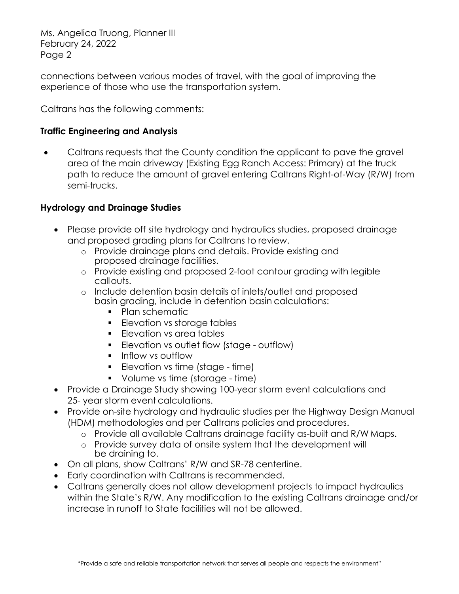connections between various modes of travel, with the goal of improving the experience of those who use the transportation system.

Caltrans has the following comments:

# **Traffic Engineering and Analysis**

• Caltrans requests that the County condition the applicant to pave the gravel area of the main driveway (Existing Egg Ranch Access: Primary) at the truck path to reduce the amount of gravel entering Caltrans Right-of-Way (R/W) from semi-trucks.

## **Hydrology and Drainage Studies**

- Please provide off site hydrology and hydraulics studies, proposed drainage and proposed grading plans for Caltrans to review.
	- o Provide drainage plans and details. Provide existing and proposed drainage facilities.
	- o Provide existing and proposed 2-foot contour grading with legible callouts.
	- o Include detention basin details of inlets/outlet and proposed basin grading, include in detention basin calculations:
		- Plan schematic
		- **Elevation vs storage tables**
		- **Elevation vs area tables**
		- **Elevation vs outlet flow (stage outflow)**
		- **Inflow vs outflow**
		- **Elevation vs time (stage time)**
		- Volume vs time (storage time)
- Provide a Drainage Study showing 100-year storm event calculations and 25- year storm event calculations.
- Provide on-site hydrology and hydraulic studies per the Highway Design Manual (HDM) methodologies and per Caltrans policies and procedures.
	- o Provide all available Caltrans drainage facility as-built and R/W Maps.
	- o Provide survey data of onsite system that the development will be draining to.
- On all plans, show Caltrans' R/W and SR-78 centerline.
- Early coordination with Caltrans is recommended.
- Caltrans generally does not allow development projects to impact hydraulics within the State's R/W. Any modification to the existing Caltrans drainage and/or increase in runoff to State facilities will not be allowed.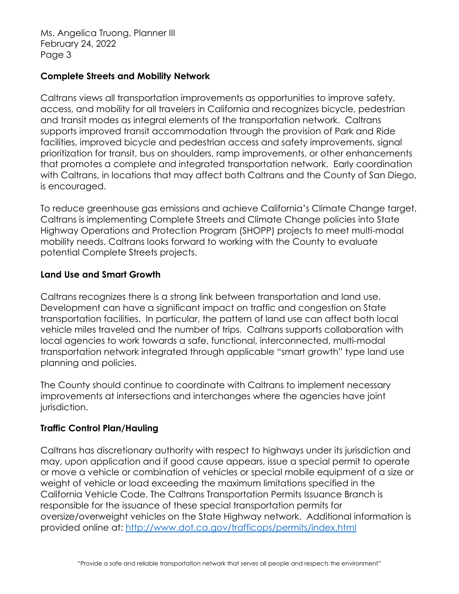### **Complete Streets and Mobility Network**

Caltrans views all transportation improvements as opportunities to improve safety, access, and mobility for all travelers in California and recognizes bicycle, pedestrian and transit modes as integral elements of the transportation network. Caltrans supports improved transit accommodation through the provision of Park and Ride facilities, improved bicycle and pedestrian access and safety improvements, signal prioritization for transit, bus on shoulders, ramp improvements, or other enhancements that promotes a complete and integrated transportation network. Early coordination with Caltrans, in locations that may affect both Caltrans and the County of San Diego, is encouraged.

To reduce greenhouse gas emissions and achieve California's Climate Change target, Caltrans is implementing Complete Streets and Climate Change policies into State Highway Operations and Protection Program (SHOPP) projects to meet multi-modal mobility needs. Caltrans looks forward to working with the County to evaluate potential Complete Streets projects.

## **Land Use and Smart Growth**

Caltrans recognizes there is a strong link between transportation and land use. Development can have a significant impact on traffic and congestion on State transportation facilities. In particular, the pattern of land use can affect both local vehicle miles traveled and the number of trips. Caltrans supports collaboration with local agencies to work towards a safe, functional, interconnected, multi-modal transportation network integrated through applicable "smart growth" type land use planning and policies.

The County should continue to coordinate with Caltrans to implement necessary improvements at intersections and interchanges where the agencies have joint jurisdiction.

# **Traffic Control Plan/Hauling**

Caltrans has discretionary authority with respect to highways under its jurisdiction and may, upon application and if good cause appears, issue a special permit to operate or move a vehicle or combination of vehicles or special mobile equipment of a size or weight of vehicle or load exceeding the maximum limitations specified in the California Vehicle Code. The Caltrans Transportation Permits Issuance Branch is responsible for the issuance of these special transportation permits for oversize/overweight vehicles on the State Highway network. Additional information is provided online at:<http://www.dot.ca.gov/trafficops/permits/index.html>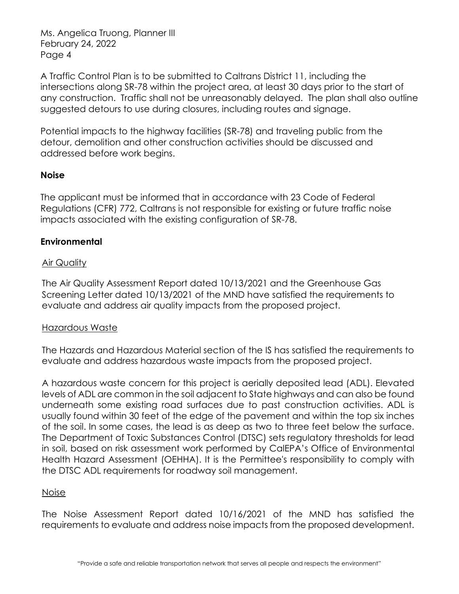A Traffic Control Plan is to be submitted to Caltrans District 11, including the intersections along SR-78 within the project area, at least 30 days prior to the start of any construction. Traffic shall not be unreasonably delayed. The plan shall also outline suggested detours to use during closures, including routes and signage.

Potential impacts to the highway facilities (SR-78) and traveling public from the detour, demolition and other construction activities should be discussed and addressed before work begins.

## **Noise**

The applicant must be informed that in accordance with 23 Code of Federal Regulations (CFR) 772, Caltrans is not responsible for existing or future traffic noise impacts associated with the existing configuration of SR-78.

## **Environmental**

### Air Quality

The Air Quality Assessment Report dated 10/13/2021 and the Greenhouse Gas Screening Letter dated 10/13/2021 of the MND have satisfied the requirements to evaluate and address air quality impacts from the proposed project.

#### Hazardous Waste

The Hazards and Hazardous Material section of the IS has satisfied the requirements to evaluate and address hazardous waste impacts from the proposed project.

A hazardous waste concern for this project is aerially deposited lead (ADL). Elevated levels of ADL are common in the soil adjacent to State highways and can also be found underneath some existing road surfaces due to past construction activities. ADL is usually found within 30 feet of the edge of the pavement and within the top six inches of the soil. In some cases, the lead is as deep as two to three feet below the surface. The Department of Toxic Substances Control (DTSC) sets regulatory thresholds for lead in soil, based on risk assessment work performed by CalEPA's Office of Environmental Health Hazard Assessment (OEHHA). It is the Permittee's responsibility to comply with the DTSC ADL requirements for roadway soil management.

#### Noise

The Noise Assessment Report dated 10/16/2021 of the MND has satisfied the requirements to evaluate and address noise impacts from the proposed development.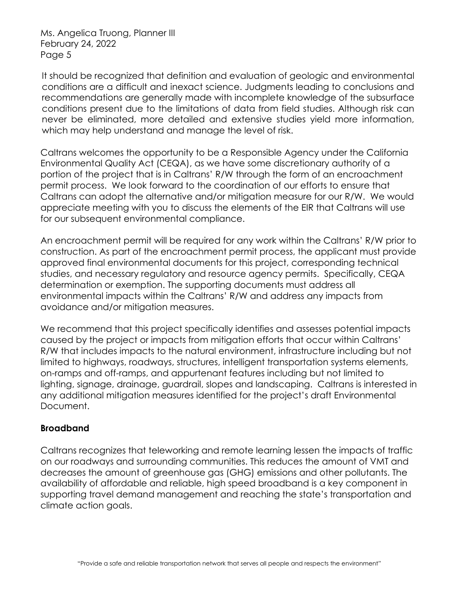It should be recognized that definition and evaluation of geologic and environmental conditions are a difficult and inexact science. Judgments leading to conclusions and recommendations are generally made with incomplete knowledge of the subsurface conditions present due to the limitations of data from field studies. Although risk can never be eliminated, more detailed and extensive studies yield more information, which may help understand and manage the level of risk.

Caltrans welcomes the opportunity to be a Responsible Agency under the California Environmental Quality Act (CEQA), as we have some discretionary authority of a portion of the project that is in Caltrans' R/W through the form of an encroachment permit process. We look forward to the coordination of our efforts to ensure that Caltrans can adopt the alternative and/or mitigation measure for our R/W. We would appreciate meeting with you to discuss the elements of the EIR that Caltrans will use for our subsequent environmental compliance.

An encroachment permit will be required for any work within the Caltrans' R/W prior to construction. As part of the encroachment permit process, the applicant must provide approved final environmental documents for this project, corresponding technical studies, and necessary regulatory and resource agency permits. Specifically, CEQA determination or exemption. The supporting documents must address all environmental impacts within the Caltrans' R/W and address any impacts from avoidance and/or mitigation measures.

We recommend that this project specifically identifies and assesses potential impacts caused by the project or impacts from mitigation efforts that occur within Caltrans' R/W that includes impacts to the natural environment, infrastructure including but not limited to highways, roadways, structures, intelligent transportation systems elements, on-ramps and off-ramps, and appurtenant features including but not limited to lighting, signage, drainage, guardrail, slopes and landscaping. Caltrans is interested in any additional mitigation measures identified for the project's draft Environmental Document.

### **Broadband**

Caltrans recognizes that teleworking and remote learning lessen the impacts of traffic on our roadways and surrounding communities. This reduces the amount of VMT and decreases the amount of greenhouse gas (GHG) emissions and other pollutants. The availability of affordable and reliable, high speed broadband is a key component in supporting travel demand management and reaching the state's transportation and climate action goals.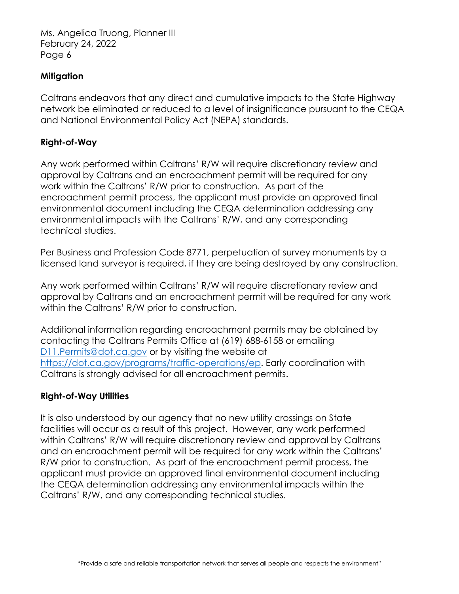#### **Mitigation**

Caltrans endeavors that any direct and cumulative impacts to the State Highway network be eliminated or reduced to a level of insignificance pursuant to the CEQA and National Environmental Policy Act (NEPA) standards.

#### **Right-of-Way**

Any work performed within Caltrans' R/W will require discretionary review and approval by Caltrans and an encroachment permit will be required for any work within the Caltrans' R/W prior to construction. As part of the encroachment permit process, the applicant must provide an approved final environmental document including the CEQA determination addressing any environmental impacts with the Caltrans' R/W, and any corresponding technical studies.

Per Business and Profession Code 8771, perpetuation of survey monuments by a licensed land surveyor is required, if they are being destroyed by any construction.

Any work performed within Caltrans' R/W will require discretionary review and approval by Caltrans and an encroachment permit will be required for any work within the Caltrans' R/W prior to construction.

Additional information regarding encroachment permits may be obtained by contacting the Caltrans Permits Office at (619) 688-6158 or emailing [D11.Permits@dot.ca.gov](mailto:D11.Permits@dot.ca.gov) or by visiting the website at [https://dot.ca.gov/programs/traffic-operations/ep.](https://dot.ca.gov/programs/traffic-operations/ep) Early coordination with Caltrans is strongly advised for all encroachment permits.

#### **Right-of-Way Utilities**

It is also understood by our agency that no new utility crossings on State facilities will occur as a result of this project. However, any work performed within Caltrans' R/W will require discretionary review and approval by Caltrans and an encroachment permit will be required for any work within the Caltrans' R/W prior to construction. As part of the encroachment permit process, the applicant must provide an approved final environmental document including the CEQA determination addressing any environmental impacts within the Caltrans' R/W, and any corresponding technical studies.